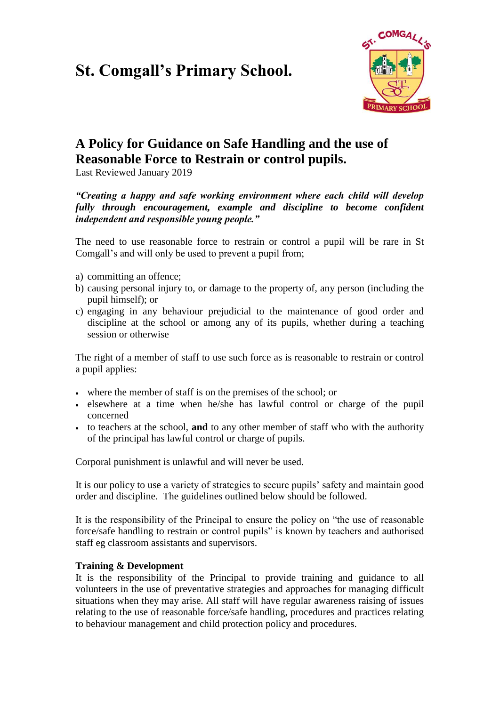# **St. Comgall's Primary School.**



## **A Policy for Guidance on Safe Handling and the use of Reasonable Force to Restrain or control pupils.**

Last Reviewed January 2019

*"Creating a happy and safe working environment where each child will develop fully through encouragement, example and discipline to become confident independent and responsible young people."*

The need to use reasonable force to restrain or control a pupil will be rare in St Comgall's and will only be used to prevent a pupil from;

- a) committing an offence;
- b) causing personal injury to, or damage to the property of, any person (including the pupil himself); or
- c) engaging in any behaviour prejudicial to the maintenance of good order and discipline at the school or among any of its pupils, whether during a teaching session or otherwise

The right of a member of staff to use such force as is reasonable to restrain or control a pupil applies:

- where the member of staff is on the premises of the school; or
- elsewhere at a time when he/she has lawful control or charge of the pupil concerned
- to teachers at the school, **and** to any other member of staff who with the authority of the principal has lawful control or charge of pupils.

Corporal punishment is unlawful and will never be used.

It is our policy to use a variety of strategies to secure pupils' safety and maintain good order and discipline. The guidelines outlined below should be followed.

It is the responsibility of the Principal to ensure the policy on "the use of reasonable force/safe handling to restrain or control pupils" is known by teachers and authorised staff eg classroom assistants and supervisors.

#### **Training & Development**

It is the responsibility of the Principal to provide training and guidance to all volunteers in the use of preventative strategies and approaches for managing difficult situations when they may arise. All staff will have regular awareness raising of issues relating to the use of reasonable force/safe handling, procedures and practices relating to behaviour management and child protection policy and procedures.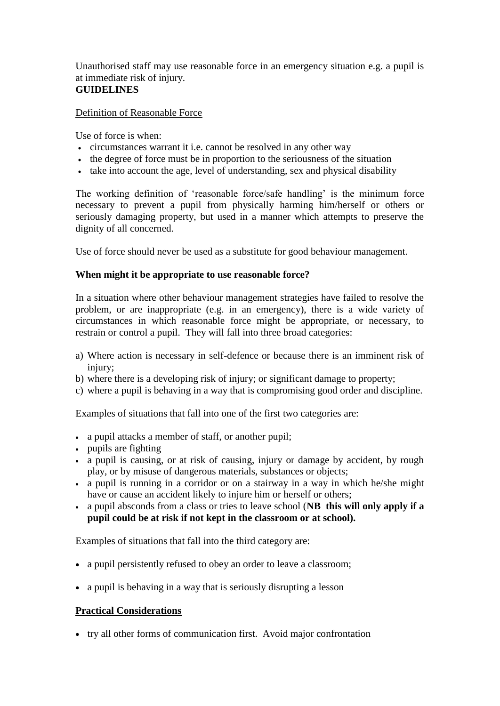Unauthorised staff may use reasonable force in an emergency situation e.g. a pupil is at immediate risk of injury.

### **GUIDELINES**

Definition of Reasonable Force

Use of force is when:

- circumstances warrant it i.e. cannot be resolved in any other way
- the degree of force must be in proportion to the seriousness of the situation
- take into account the age, level of understanding, sex and physical disability

The working definition of 'reasonable force/safe handling' is the minimum force necessary to prevent a pupil from physically harming him/herself or others or seriously damaging property, but used in a manner which attempts to preserve the dignity of all concerned.

Use of force should never be used as a substitute for good behaviour management.

#### **When might it be appropriate to use reasonable force?**

In a situation where other behaviour management strategies have failed to resolve the problem, or are inappropriate (e.g. in an emergency), there is a wide variety of circumstances in which reasonable force might be appropriate, or necessary, to restrain or control a pupil. They will fall into three broad categories:

- a) Where action is necessary in self-defence or because there is an imminent risk of injury;
- b) where there is a developing risk of injury; or significant damage to property;
- c) where a pupil is behaving in a way that is compromising good order and discipline.

Examples of situations that fall into one of the first two categories are:

- a pupil attacks a member of staff, or another pupil;
- pupils are fighting
- a pupil is causing, or at risk of causing, injury or damage by accident, by rough play, or by misuse of dangerous materials, substances or objects;
- a pupil is running in a corridor or on a stairway in a way in which he/she might have or cause an accident likely to injure him or herself or others;
- a pupil absconds from a class or tries to leave school (**NB this will only apply if a pupil could be at risk if not kept in the classroom or at school).**

Examples of situations that fall into the third category are:

- a pupil persistently refused to obey an order to leave a classroom;
- a pupil is behaving in a way that is seriously disrupting a lesson

#### **Practical Considerations**

• try all other forms of communication first. Avoid major confrontation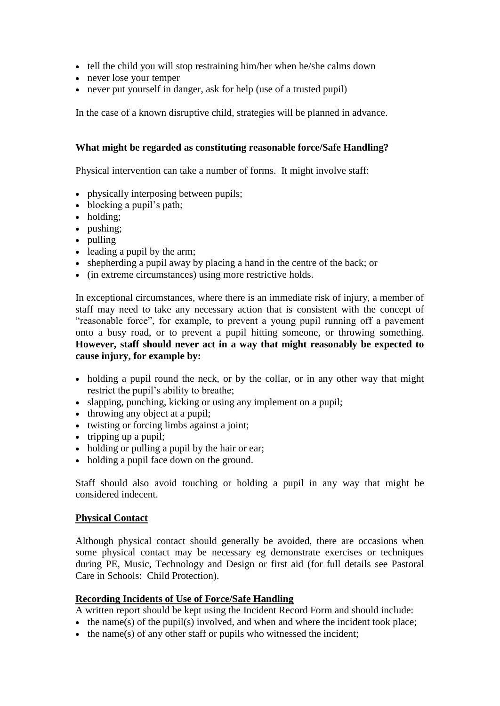- tell the child you will stop restraining him/her when he/she calms down
- never lose your temper
- never put yourself in danger, ask for help (use of a trusted pupil)

In the case of a known disruptive child, strategies will be planned in advance.

#### **What might be regarded as constituting reasonable force/Safe Handling?**

Physical intervention can take a number of forms. It might involve staff:

- physically interposing between pupils;
- blocking a pupil's path;
- holding:
- pushing;
- pulling
- leading a pupil by the arm;
- shepherding a pupil away by placing a hand in the centre of the back; or
- (in extreme circumstances) using more restrictive holds.

In exceptional circumstances, where there is an immediate risk of injury, a member of staff may need to take any necessary action that is consistent with the concept of "reasonable force", for example, to prevent a young pupil running off a pavement onto a busy road, or to prevent a pupil hitting someone, or throwing something. **However, staff should never act in a way that might reasonably be expected to cause injury, for example by:**

- holding a pupil round the neck, or by the collar, or in any other way that might restrict the pupil's ability to breathe;
- slapping, punching, kicking or using any implement on a pupil;
- throwing any object at a pupil;
- twisting or forcing limbs against a joint;
- $\bullet$  tripping up a pupil;
- holding or pulling a pupil by the hair or ear;
- holding a pupil face down on the ground.

Staff should also avoid touching or holding a pupil in any way that might be considered indecent.

#### **Physical Contact**

Although physical contact should generally be avoided, there are occasions when some physical contact may be necessary eg demonstrate exercises or techniques during PE, Music, Technology and Design or first aid (for full details see Pastoral Care in Schools: Child Protection).

#### **Recording Incidents of Use of Force/Safe Handling**

A written report should be kept using the Incident Record Form and should include:

- $\bullet$  the name(s) of the pupil(s) involved, and when and where the incident took place;
- $\bullet$  the name(s) of any other staff or pupils who witnessed the incident;